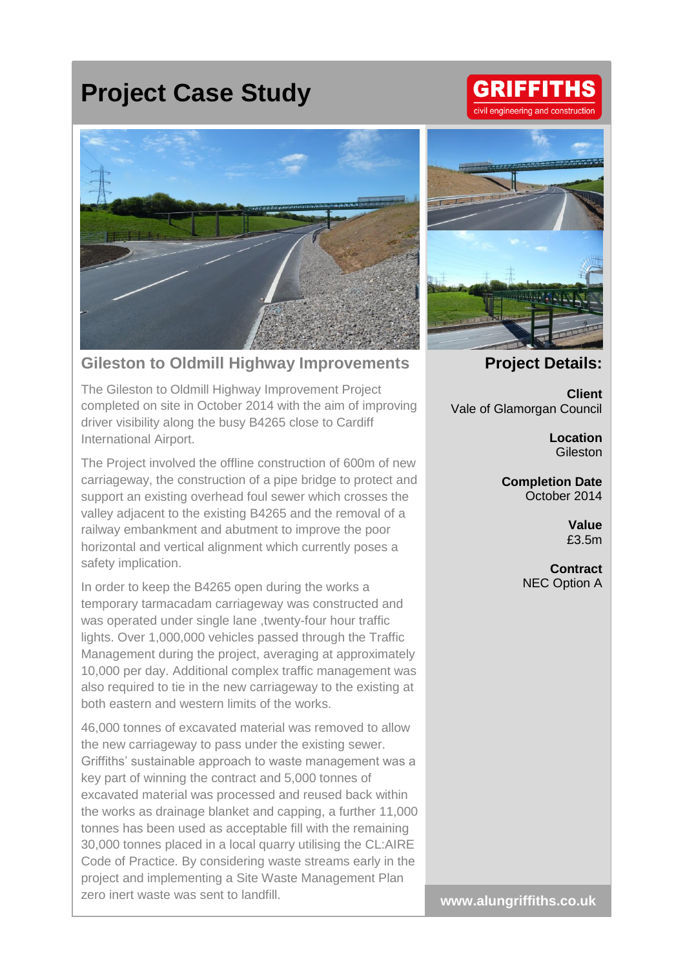## **Project Case Study**

## **Gileston to Oldmill Highway Improvements**

The Gileston to Oldmill Highway Improvement Project completed on site in October 2014 with the aim of improving driver visibility along the busy B4265 close to Cardiff International Airport.

The Project involved the offline construction of 600m of new carriageway, the construction of a pipe bridge to protect and support an existing overhead foul sewer which crosses the valley adjacent to the existing B4265 and the removal of a railway embankment and abutment to improve the poor horizontal and vertical alignment which currently poses a safety implication.

In order to keep the B4265 open during the works a temporary tarmacadam carriageway was constructed and was operated under single lane , twenty-four hour traffic lights. Over 1,000,000 vehicles passed through the Traffic Management during the project, averaging at approximately 10,000 per day. Additional complex traffic management was also required to tie in the new carriageway to the existing at both eastern and western limits of the works.

46,000 tonnes of excavated material was removed to allow the new carriageway to pass under the existing sewer. Griffiths' sustainable approach to waste management was a key part of winning the contract and 5,000 tonnes of excavated material was processed and reused back within the works as drainage blanket and capping, a further 11,000 tonnes has been used as acceptable fill with the remaining 30,000 tonnes placed in a local quarry utilising the CL:AIRE Code of Practice. By considering waste streams early in the project and implementing a Site Waste Management Plan zero inert waste was sent to landfill.



**Project Details:**

**Client** Vale of Glamorgan Council

> **Location** Gileston

**Completion Date** October 2014

> **Value** £3.5m

**Contract** NEC Option A

**www.alungriffiths.co.uk**

## **GRIFFITHS** ivil engineering and construction